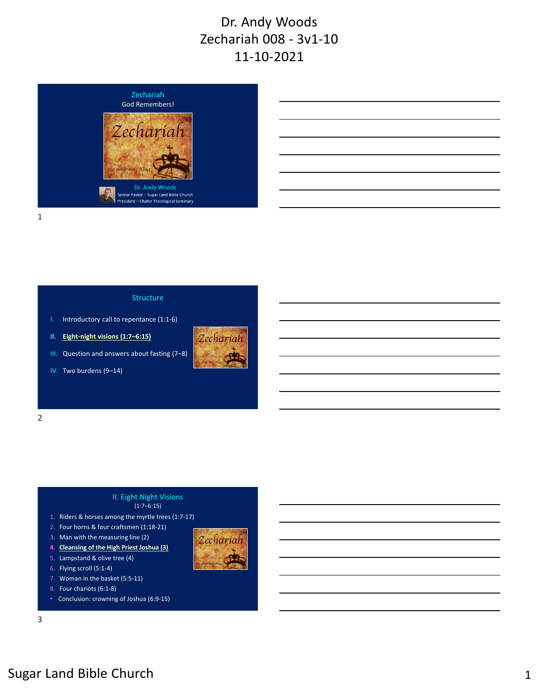

#### 1

2

#### Structure

- I. Introductory call to repentance (1:1‐6)
- **II. Eight‐night visions (1:7–6:15)**
- III. Question and answers about fasting (7–8)



Zechariah

IV. Two burdens (9–14)

# II. Eight Night Visions

#### $(1:7-6:15)$

- 1. Riders & horses among the myrtle trees (1:7‐17)
- 2. Four horns & four craftsmen (1:18‐21)
- 3. Man with the measuring line (2)
- **4. Cleansing of the High Priest Joshua (3)**
- 5. Lampstand & olive tree (4)
- 6. Flying scroll (5:1‐4)
- 7. Woman in the basket (5:5‐11)
- 8. Four chariots (6:1‐8)
- Conclusion: crowning of Joshua (6:9‐15)

3

# Sugar Land Bible Church 1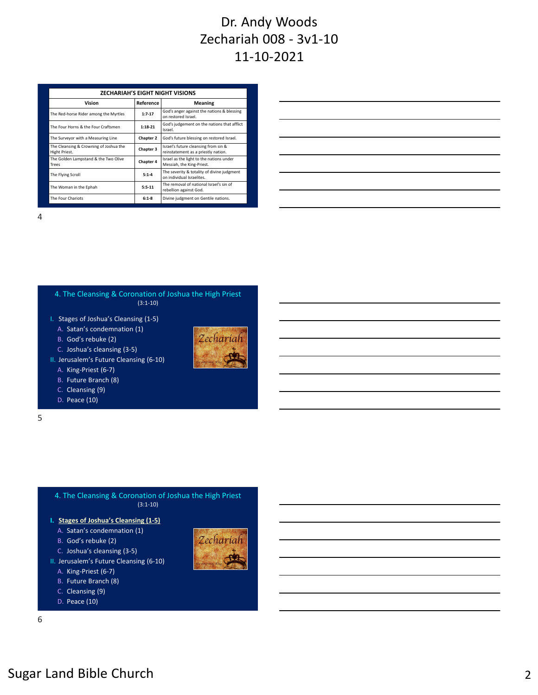| <b>ZECHARIAH'S EIGHT NIGHT VISIONS</b>                  |           |                                                                             |  |  |
|---------------------------------------------------------|-----------|-----------------------------------------------------------------------------|--|--|
| Vision                                                  | Reference | <b>Meaning</b>                                                              |  |  |
| The Red-horse Rider among the Myrtles                   | $1:7-17$  | God's anger against the nations & blessing<br>on restored Israel.           |  |  |
| The Four Horns & the Four Craftsmen                     | $1:18-21$ | God's judgement on the nations that afflict<br>Israel.                      |  |  |
| The Surveyor with a Measuring Line                      | Chapter 2 | God's future blessing on restored Israel.                                   |  |  |
| The Cleansing & Crowning of Joshua the<br>Hight Priest. | Chapter 3 | Israel's future cleansing from sin &<br>reinstatement as a priestly nation. |  |  |
| The Golden Lampstand & the Two Olive<br>Trees           | Chapter 4 | Israel as the light to the nations under<br>Messiah, the King-Priest.       |  |  |
| The Flying Scroll                                       | $5:1 - 4$ | The severity & totality of divine judgment<br>on individual Israelites.     |  |  |
| The Woman in the Ephah                                  | $5:5-11$  | The removal of national Israel's sin of<br>rebellion against God.           |  |  |
| The Four Chariots                                       | $6:1-8$   | Divine judgment on Gentile nations.                                         |  |  |

4



I. Stages of Joshua's Cleansing (1‐5)

A. Satan's condemnation (1)

B. God's rebuke (2)



II. Jerusalem's Future Cleansing (6‐10)

- A. King‐Priest (6‐7)
- B. Future Branch (8)
- C. Cleansing (9)
- D. Peace (10)

5

4. The Cleansing & Coronation of Joshua the High Priest (3:1‐10)

- **I. Stages of Joshua's Cleansing (1‐5)**
	- A. Satan's condemnation (1)
	- B. God's rebuke (2)
	- C. Joshua's cleansing (3‐5)
- II. Jerusalem's Future Cleansing (6‐10)
	- A. King‐Priest (6‐7)
	- B. Future Branch (8)
	- C. Cleansing (9)
	- D. Peace (10)

6





Zechariah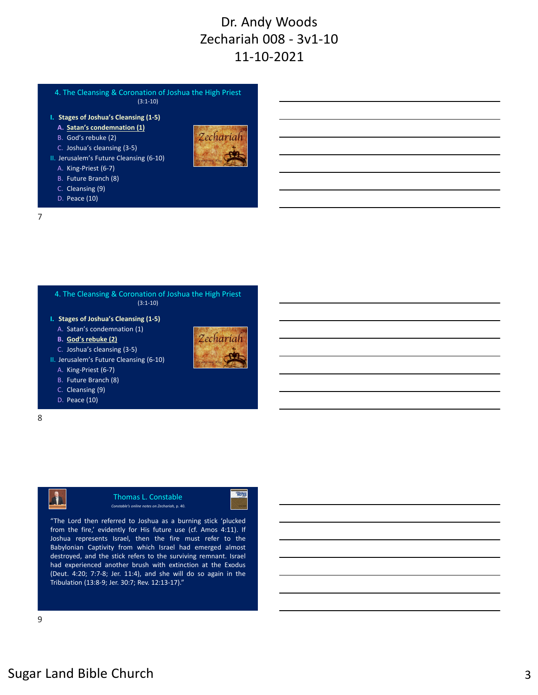4. The Cleansing & Coronation of Joshua the High Priest  $(3:1-10)$ 

- **I. Stages of Joshua's Cleansing (1‐5)**
	- **A. Satan's condemnation (1)**
	- B. God's rebuke (2)
	- C. Joshua's cleansing (3‐5)
- II. Jerusalem's Future Cleansing (6‐10)
	- A. King‐Priest (6‐7)
	- B. Future Branch (8)
	- C. Cleansing (9)
	- D. Peace (10)

Zechariah

Zechariah

**NOTES** 

7

4. The Cleansing & Coronation of Joshua the High Priest  $(3:1-10)$ 

**I. Stages of Joshua's Cleansing (1‐5)**

A. Satan's condemnation (1)

**B. God's rebuke (2)**





A. King‐Priest (6‐7)

- B. Future Branch (8)
- C. Cleansing (9)
- D. Peace (10)
- 8

Thomas L. Constable *Constable's online notes on Zechariah,* p. 40.

"The Lord then referred to Joshua as a burning stick 'plucked from the fire,' evidently for His future use (cf. Amos 4:11). If Joshua represents Israel, then the fire must refer to the Babylonian Captivity from which Israel had emerged almost destroyed, and the stick refers to the surviving remnant. Israel had experienced another brush with extinction at the Exodus (Deut. 4:20; 7:7‐8; Jer. 11:4), and she will do so again in the Tribulation (13:8‐9; Jer. 30:7; Rev. 12:13‐17)."

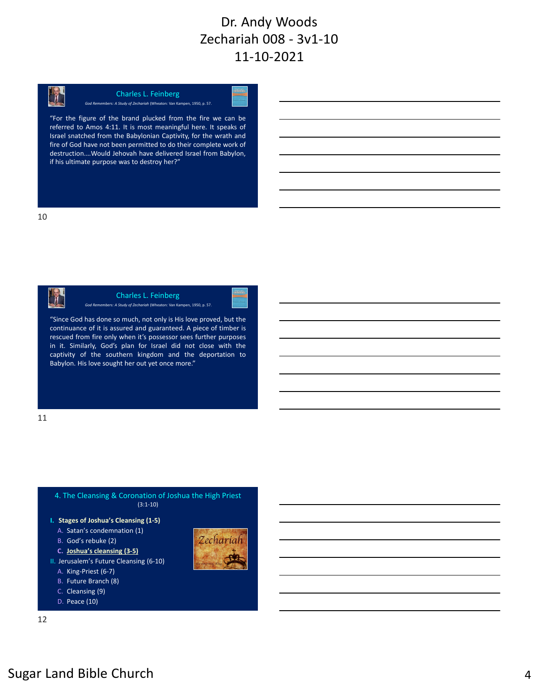

Charles L. Feinberg *God Remembers: A Study of Zechariah* (Wheaton: Van Kampen, 1950, p. 57.

"For the figure of the brand plucked from the fire we can be referred to Amos 4:11. It is most meaningful here. It speaks of Israel snatched from the Babylonian Captivity, for the wrath and fire of God have not been permitted to do their complete work of destruction.…Would Jehovah have delivered Israel from Babylon, if his ultimate purpose was to destroy her?"



Charles L. Feinberg *God Remembers: A Study of Zechariah* (Wheaton: Van Kampen, 1950, p. 57.

"Since God has done so much, not only is His love proved, but the continuance of it is assured and guaranteed. A piece of timber is rescued from fire only when it's possessor sees further purposes in it. Similarly, God's plan for Israel did not close with the captivity of the southern kingdom and the deportation to Babylon. His love sought her out yet once more."

11



- -
- 
- 
- 
- 
- 
- 
- D. Peace (10)

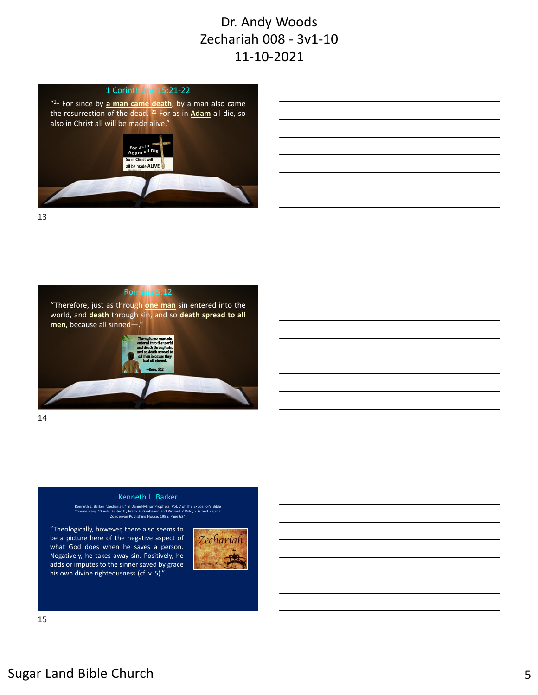

"21 For since by **a man came death**, by a man also came the resurrection of the dead. <sup>22</sup> For as in **Adam** all die, so also in Christ all will be made alive."



13





14

#### Kenneth L. Barker

Kenneth L. Barker "Zechariah." In Daniel-Minor Prophets. Vol. 7 of The Expositor's Bible<br>Commentary. 12 vols. Edited by Frank E. Gaebelein and Richard P. Polcyn. Grand Rapids:<br>Commentary. 20 vols. Eondervan Publishing Hous

"Theologically, however, there also seems to be a picture here of the negative aspect of what God does when he saves a person. Negatively, he takes away sin. Positively, he adds or imputes to the sinner saved by grace his own divine righteousness (cf. v. 5)."



15

# Sugar Land Bible Church 5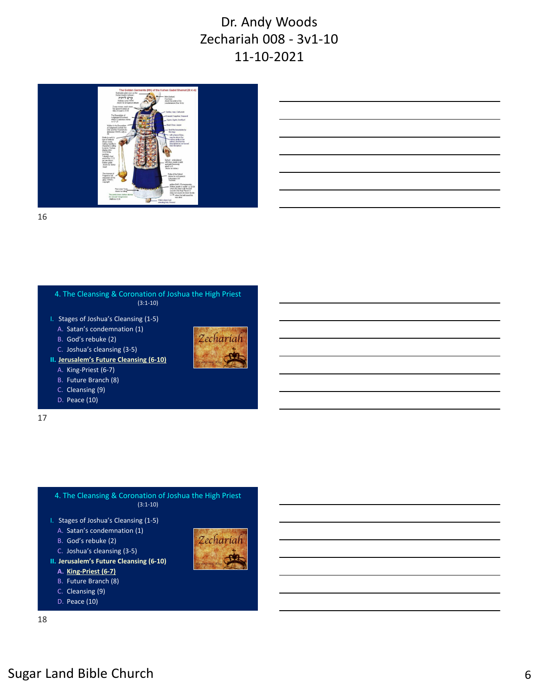

| <u> 1999 - Johann John Stone, market fan de Fryske kun fan de fan de fan de fan de fan de fan de fan de fan de fa</u> |                                                                                                                      |  |  | and the control of the |
|-----------------------------------------------------------------------------------------------------------------------|----------------------------------------------------------------------------------------------------------------------|--|--|------------------------|
| <u> 1989 - Andrea Stadt Britain, amerikansk politik (d. 1989)</u>                                                     |                                                                                                                      |  |  |                        |
|                                                                                                                       |                                                                                                                      |  |  |                        |
|                                                                                                                       |                                                                                                                      |  |  |                        |
|                                                                                                                       | <u> 1989 - Andrea Santa Andrea Andrea Andrea Andrea Andrea Andrea Andrea Andrea Andrea Andrea Andrea Andrea Andr</u> |  |  |                        |
|                                                                                                                       |                                                                                                                      |  |  |                        |

16



- A. Satan's condemnation (1)
- 
- B. God's rebuke (2)



Zechariah

- C. Joshua's cleansing (3‐5) **II. Jerusalem's Future Cleansing (6‐10)**
	- A. King‐Priest (6‐7)
	- B. Future Branch (8)
	- C. Cleansing (9)
	- D. Peace (10)

17



- I. Stages of Joshua's Cleansing (1‐5)
	- A. Satan's condemnation (1)
	- B. God's rebuke (2)
- C. Joshua's cleansing (3‐5)
- **II. Jerusalem's Future Cleansing (6‐10)**
	- **A. King‐Priest (6‐7)**
	- B. Future Branch (8)
	- C. Cleansing (9)
	- D. Peace (10)

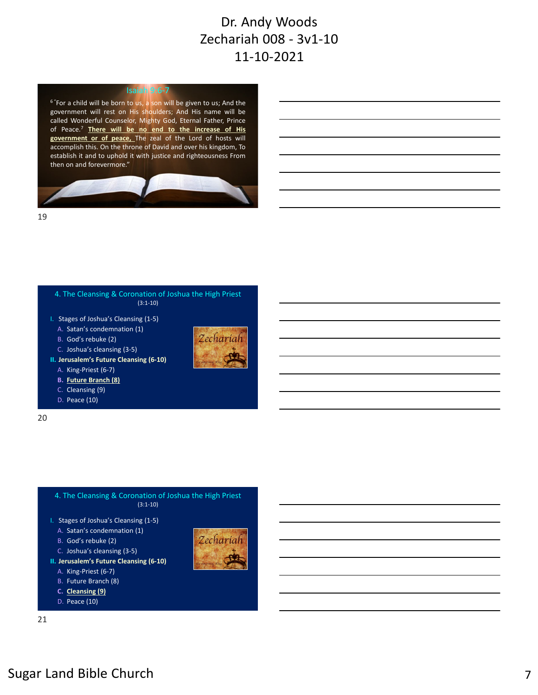#### Isaiah 9:6‐7

6 "For a child will be born to us, a son will be given to us; And the government will rest on His shoulders; And His name will be called Wonderful Counselor, Mighty God, Eternal Father, Prince of Peace.7 **There will be no end to the increase of His government or of peace,** The zeal of the Lord of hosts will accomplish this. On the throne of David and over his kingdom, To establish it and to uphold it with justice and righteousness From then on and forevermore."



19



- I. Stages of Joshua's Cleansing (1‐5)
	- A. Satan's condemnation (1)
- B. God's rebuke (2)
- C. Joshua's cleansing (3‐5)



Zechariah

- **II. Jerusalem's Future Cleansing (6‐10)**
	- A. King‐Priest (6‐7)
	- **B. Future Branch (8)**
	- C. Cleansing (9)
	- D. Peace (10)

20



- A. Satan's condemnation (1)
- B. God's rebuke (2)
- C. Joshua's cleansing (3‐5)
- **II. Jerusalem's Future Cleansing (6‐10)**
	- A. King‐Priest (6‐7)
	- B. Future Branch (8)
	- **C. Cleansing (9)**
	- D. Peace (10)

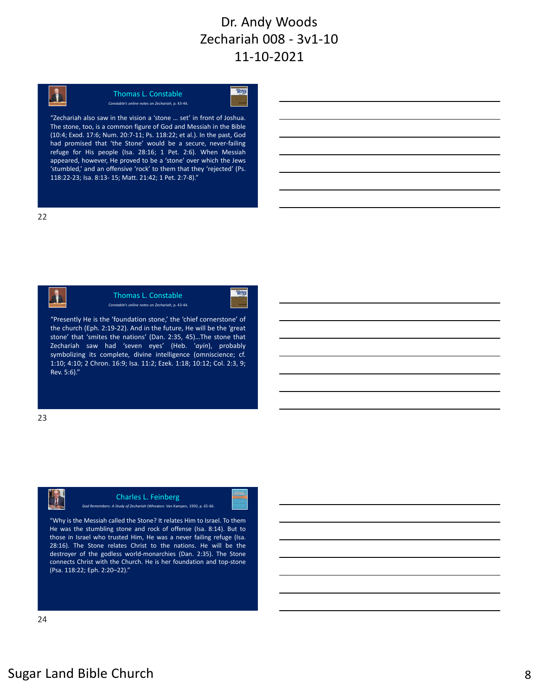

#### Thomas L. Constable *Constable's online notes on Zechariah,* p. 43‐44.



"Zechariah also saw in the vision a 'stone … set' in front of Joshua. The stone, too, is a common figure of God and Messiah in the Bible (10:4; Exod. 17:6; Num. 20:7‐11; Ps. 118:22; et al.). In the past, God had promised that 'the Stone' would be a secure, never-failing refuge for His people (Isa. 28:16; 1 Pet. 2:6). When Messiah appeared, however, He proved to be a 'stone' over which the Jews 'stumbled,' and an offensive 'rock' to them that they 'rejected' (Ps. 118:22‐23; Isa. 8:13‐ 15; Matt. 21:42; 1 Pet. 2:7‐8)."



Thomas L. Constable *Constable's online notes on Zechariah,* p. 43‐44.



"Presently He is the 'foundation stone,' the 'chief cornerstone' of the church (Eph. 2:19‐22). And in the future, He will be the 'great stone' that 'smites the nations' (Dan. 2:35, 45)…The stone that Zechariah saw had 'seven eyes' (Heb. '*ayin*), probably symbolizing its complete, divine intelligence (omniscience; cf. 1:10; 4:10; 2 Chron. 16:9; Isa. 11:2; Ezek. 1:18; 10:12; Col. 2:3, 9; Rev. 5:6)."

23



#### Charles L. Feinberg

*God Remembers: A Study of Zechariah* (Wheaton: Van Kampen, 1950, p. 65‐66.

"Why is the Messiah called the Stone? It relates Him to Israel. To them He was the stumbling stone and rock of offense (Isa. 8:14). But to those in Israel who trusted Him, He was a never failing refuge (Isa. 28:16). The Stone relates Christ to the nations. He will be the destroyer of the godless world‐monarchies (Dan. 2:35). The Stone connects Christ with the Church. He is her foundation and top‐stone (Psa. 118:22; Eph. 2:20–22)."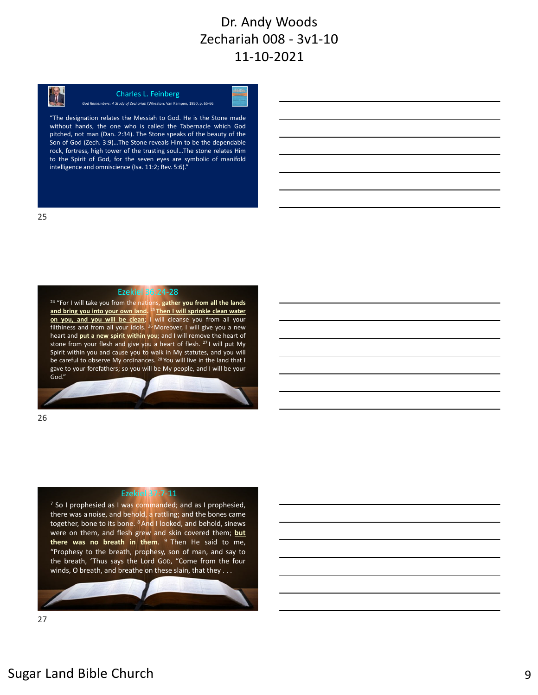

#### Charles L. Feinberg *God Remembers: A Study of Zechariah* (Wheaton: Van Kampen, 1950, p. 65‐66.

"The designation relates the Messiah to God. He is the Stone made without hands, the one who is called the Tabernacle which God pitched, not man (Dan. 2:34). The Stone speaks of the beauty of the Son of God (Zech. 3:9)…The Stone reveals Him to be the dependable rock, fortress, high tower of the trusting soul…The stone relates Him to the Spirit of God, for the seven eyes are symbolic of manifold intelligence and omniscience (Isa. 11:2; Rev. 5:6)."

Ezekiel 36:24‐28

<sup>24</sup> "For I will take you from the nations, **gather you from all the lands and bring you into your own land.** <sup>25</sup> **Then I will sprinkle clean water on you, and you will be clean**; I will cleanse you from all your filthiness and from all your idols. <sup>26</sup> Moreover, I will give you a new heart and **put a new spirit within you**; and I will remove the heart of stone from your flesh and give you a heart of flesh. <sup>27</sup> I will put My Spirit within you and cause you to walk in My statutes, and you will be careful to observe My ordinances. <sup>28</sup> You will live in the land that I gave to your forefathers; so you will be My people, and I will be your God."

26

#### Ezekiel 37:7‐11

 $<sup>7</sup>$  So I prophesied as I was commanded; and as I prophesied,</sup> there was a noise, and behold, a rattling; and the bones came together, bone to its bone. <sup>8</sup> And I looked, and behold, sinews were on them, and flesh grew and skin covered them; **but** there was no breath in them. <sup>9</sup> Then He said to me, "Prophesy to the breath, prophesy, son of man, and say to the breath, 'Thus says the Lord GOD, "Come from the four winds, O breath, and breathe on these slain, that they . . .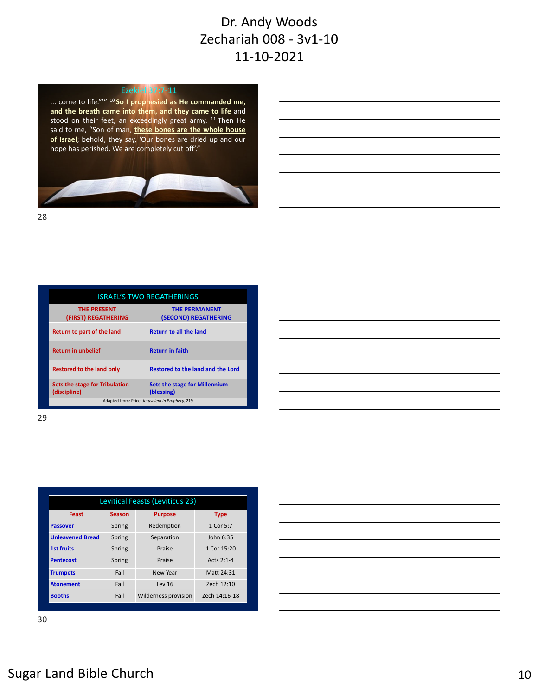#### Ezekiel 37:7‐11

... come to life."'" <sup>10</sup> **So I prophesied as He commanded me, and the breath came into them, and they came to life** and stood on their feet, an exceedingly great army. <sup>11</sup> Then He said to me, "Son of man, **these bones are the whole house of Israel**; behold, they say, 'Our bones are dried up and our hope has perished. We are completely cut off'."



28

| <b>ISRAEL'S TWO REGATHERINGS</b>                |                                                    |  |
|-------------------------------------------------|----------------------------------------------------|--|
| <b>THE PRESENT</b><br>(FIRST) REGATHERING       | <b>THE PERMANENT</b><br>(SECOND) REGATHERING       |  |
| Return to part of the land                      | <b>Return to all the land</b>                      |  |
| <b>Return in unbelief</b>                       | <b>Return in faith</b>                             |  |
| Restored to the land only                       | Restored to the land and the Lord                  |  |
| Sets the stage for Tribulation<br>(discipline)  | <b>Sets the stage for Millennium</b><br>(blessing) |  |
| Adapted from: Price, Jerusalem In Prophecy, 219 |                                                    |  |

| <u> 1989 - Johann Stoff, deutscher Stoff, der Stoff, der Stoff, der Stoff, der Stoff, der Stoff, der Stoff, der S</u> |  |  |
|-----------------------------------------------------------------------------------------------------------------------|--|--|
|                                                                                                                       |  |  |
|                                                                                                                       |  |  |
| <u> 1989 - Johann Stoff, deutscher Stoff, der Stoff, der Stoff, der Stoff, der Stoff, der Stoff, der Stoff, der S</u> |  |  |
|                                                                                                                       |  |  |
|                                                                                                                       |  |  |
| <u> 1989 - Andrea Station Barbara, actor a component de la componentación de la componentación de la componentaci</u> |  |  |
|                                                                                                                       |  |  |

29

| Levitical Feasts (Leviticus 23) |               |                             |               |  |
|---------------------------------|---------------|-----------------------------|---------------|--|
| Feast                           | <b>Season</b> | <b>Purpose</b>              | <b>Type</b>   |  |
| <b>Passover</b>                 | Spring        | Redemption                  | 1 Cor 5:7     |  |
| <b>Unleavened Bread</b>         | Spring        | Separation                  | John 6:35     |  |
| <b>1st fruits</b>               | Spring        | Praise                      | 1 Cor 15:20   |  |
| <b>Pentecost</b>                | Spring        | Praise                      | Acts 2:1-4    |  |
| <b>Trumpets</b>                 | Fall          | New Year                    | Matt 24:31    |  |
| <b>Atonement</b>                | Fall          | Lev 16                      | Zech 12:10    |  |
| <b>Booths</b>                   | Fall          | <b>Wilderness provision</b> | Zech 14:16-18 |  |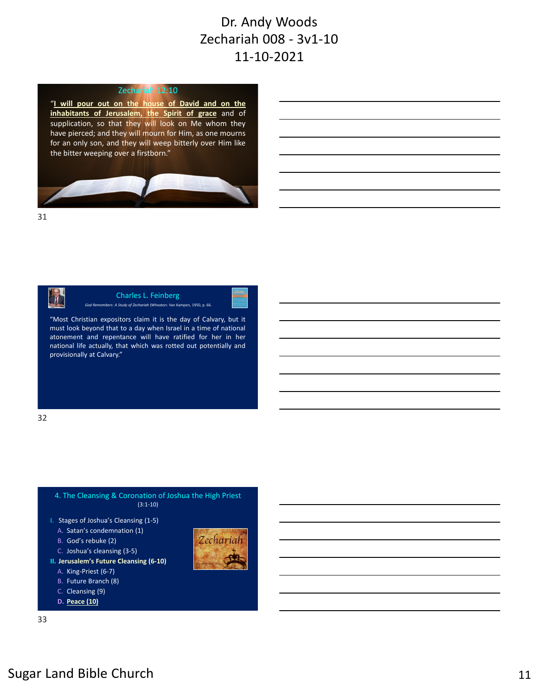#### Zechariah 12:10

"**I will pour out on the house of David and on the inhabitants of Jerusalem, the Spirit of grace** and of supplication, so that they will look on Me whom they have pierced; and they will mourn for Him, as one mourns for an only son, and they will weep bitterly over Him like the bitter weeping over a firstborn."



31



Charles L. Feinberg *God Remembers: A Study of Zechariah* (Wheaton: Van Kampen, 1950, p. 66.

"Most Christian expositors claim it is the day of Calvary, but it must look beyond that to a day when Israel in a time of national atonement and repentance will have ratified for her in her national life actually, that which was rotted out potentially and provisionally at Calvary."

32



- I. Stages of Joshua's Cleansing (1‐5)
	- A. Satan's condemnation (1)
	- B. God's rebuke (2)
- C. Joshua's cleansing (3‐5)
- **II. Jerusalem's Future Cleansing (6‐10)**
	- A. King‐Priest (6‐7)
	- B. Future Branch (8)
	- C. Cleansing (9)
	- **D. Peace (10)**



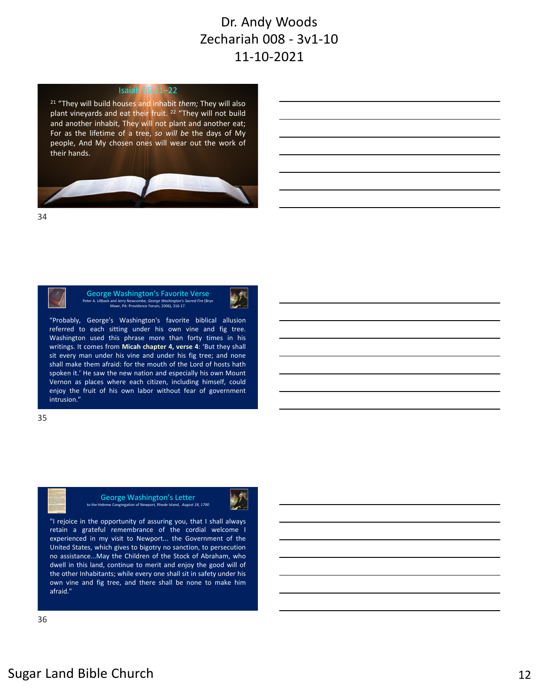#### Isaiah 65:21–22

<sup>21</sup> "They will build houses and inhabit *them;* They will also plant vineyards and eat their fruit. <sup>22</sup> "They will not build and another inhabit, They will not plant and another eat; For as the lifetime of a tree, *so will be* the days of My people, And My chosen ones will wear out the work of their hands.



34



George Washington's Favorite Verse Peter A. Lillback and Jerry Newcombe*, George Washington's Sacred Fire* (Bryn Mawr, PA: Providence Forum, 2006), 316‐17.



"Probably, George's Washington's favorite biblical allusion referred to each sitting under his own vine and fig tree. Washington used this phrase more than forty times in his writings. It comes from **Micah chapter 4, verse 4**: 'But they shall sit every man under his vine and under his fig tree; and none shall make them afraid: for the mouth of the Lord of hosts hath spoken it.' He saw the new nation and especially his own Mount Vernon as places where each citizen, including himself, could enjoy the fruit of his own labor without fear of government intrusion."







"I rejoice in the opportunity of assuring you, that I shall always retain a grateful remembrance of the cordial welcome I experienced in my visit to Newport... the Government of the United States, which gives to bigotry no sanction, to persecution no assistance...May the Children of the Stock of Abraham, who dwell in this land, continue to merit and enjoy the good will of the other Inhabitants; while every one shall sit in safety under his own vine and fig tree, and there shall be none to make him afraid."